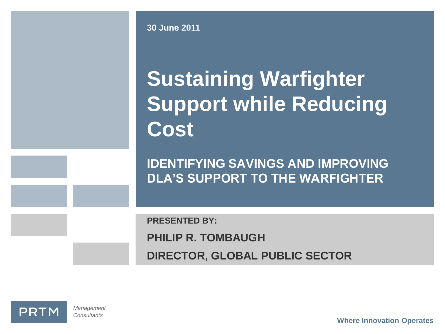**30 June 2011**

# **Sustaining Warfighter Support while Reducing Cost**

**IDENTIFYING SAVINGS AND IMPROVING DLA'S SUPPORT TO THE WARFIGHTER**

**PRESENTED BY:**

**PHILIP R. TOMBAUGH**

**DIRECTOR, GLOBAL PUBLIC SECTOR**

**PRTM** 

*Management Consultants*

**Where Innovation Operates**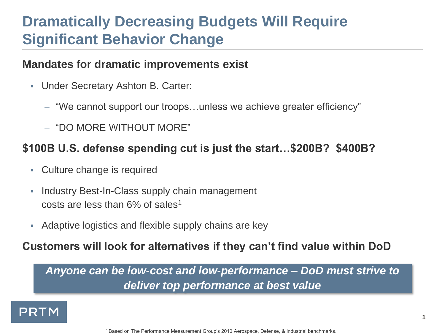### **Dramatically Decreasing Budgets Will Require Significant Behavior Change**

#### **Mandates for dramatic improvements exist**

- Under Secretary Ashton B. Carter:
	- "We cannot support our troops…unless we achieve greater efficiency"
	- "DO MORE WITHOUT MORE"

#### **\$100B U.S. defense spending cut is just the start…\$200B? \$400B?**

- Culture change is required
- **Industry Best-In-Class supply chain management** costs are less than  $6\%$  of sales<sup>1</sup>
- Adaptive logistics and flexible supply chains are key

#### **Customers will look for alternatives if they can't find value within DoD**

*Anyone can be low-cost and low-performance – DoD must strive to deliver top performance at best value*

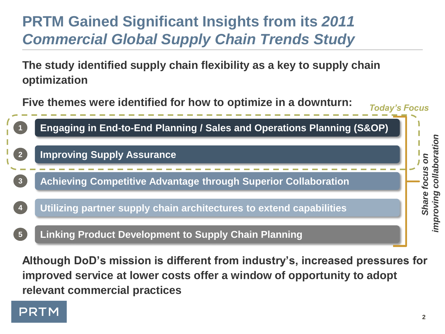## **PRTM Gained Significant Insights from its** *2011 Commercial Global Supply Chain Trends Study*

**The study identified supply chain flexibility as a key to supply chain optimization**

**Five themes were identified for how to optimize in a downturn:**



**Although DoD's mission is different from industry's, increased pressures for improved service at lower costs offer a window of opportunity to adopt relevant commercial practices**

### **PRTM**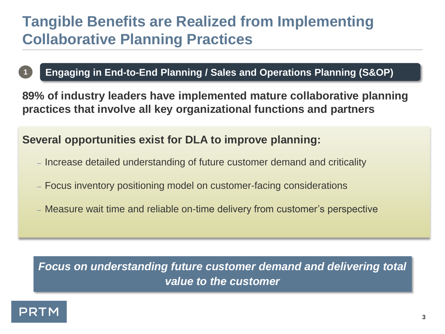### **Tangible Benefits are Realized from Implementing Collaborative Planning Practices**

#### **1 Engaging in End-to-End Planning / Sales and Operations Planning (S&OP)**

**89% of industry leaders have implemented mature collaborative planning practices that involve all key organizational functions and partners**

#### **Several opportunities exist for DLA to improve planning:**

- Increase detailed understanding of future customer demand and criticality
- Focus inventory positioning model on customer-facing considerations
- Measure wait time and reliable on-time delivery from customer's perspective

*Focus on understanding future customer demand and delivering total value to the customer*

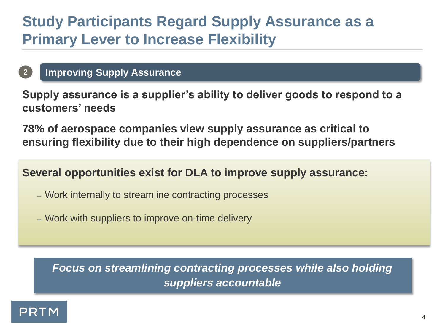### **Study Participants Regard Supply Assurance as a Primary Lever to Increase Flexibility**

#### **2 Improving Supply Assurance**

**Supply assurance is a supplier's ability to deliver goods to respond to a customers' needs**

**78% of aerospace companies view supply assurance as critical to ensuring flexibility due to their high dependence on suppliers/partners**

**Several opportunities exist for DLA to improve supply assurance:**

- Work internally to streamline contracting processes
- Work with suppliers to improve on-time delivery

*Focus on streamlining contracting processes while also holding suppliers accountable*